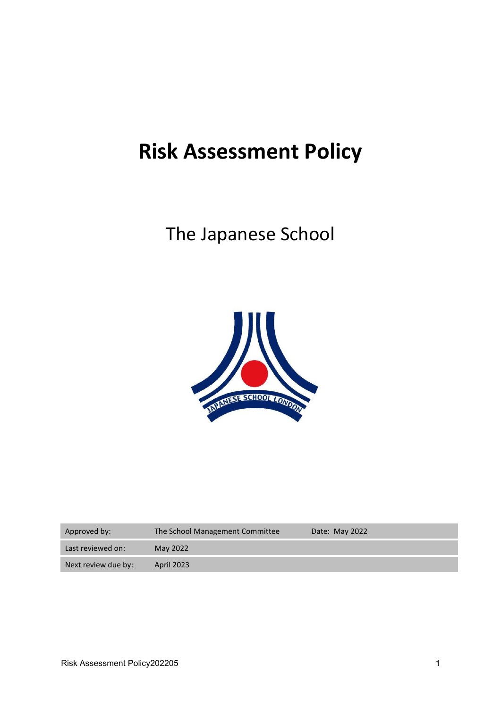# **Risk Assessment Policy**

# The Japanese School



| Approved by:        | The School Management Committee | Date: May 2022 |
|---------------------|---------------------------------|----------------|
| Last reviewed on:   | May 2022                        |                |
| Next review due by: | <b>April 2023</b>               |                |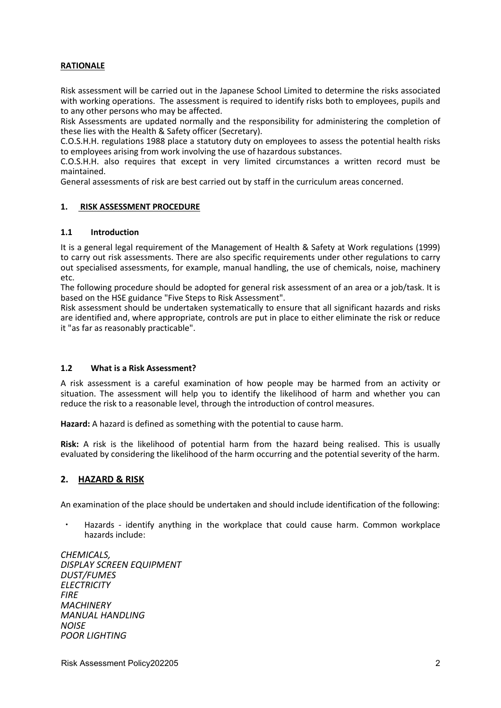# **RATIONALE**

Risk assessment will be carried out in the Japanese School Limited to determine the risks associated with working operations. The assessment is required to identify risks both to employees, pupils and to any other persons who may be affected.

Risk Assessments are updated normally and the responsibility for administering the completion of these lies with the Health & Safety officer (Secretary).

C.O.S.H.H. regulations 1988 place a statutory duty on employees to assess the potential health risks to employees arising from work involving the use of hazardous substances.

C.O.S.H.H. also requires that except in very limited circumstances a written record must be maintained.

General assessments of risk are best carried out by staff in the curriculum areas concerned.

#### **1. RISK ASSESSMENT PROCEDURE**

#### **1.1 Introduction**

It is a general legal requirement of the Management of Health & Safety at Work regulations (1999) to carry out risk assessments. There are also specific requirements under other regulations to carry out specialised assessments, for example, manual handling, the use of chemicals, noise, machinery etc.

The following procedure should be adopted for general risk assessment of an area or a job/task. It is based on the HSE guidance "Five Steps to Risk Assessment".

Risk assessment should be undertaken systematically to ensure that all significant hazards and risks are identified and, where appropriate, controls are put in place to either eliminate the risk or reduce it "as far as reasonably practicable".

#### **1.2 What is a Risk Assessment?**

A risk assessment is a careful examination of how people may be harmed from an activity or situation. The assessment will help you to identify the likelihood of harm and whether you can reduce the risk to a reasonable level, through the introduction of control measures.

**Hazard:** A hazard is defined as something with the potential to cause harm.

**Risk:** A risk is the likelihood of potential harm from the hazard being realised. This is usually evaluated by considering the likelihood of the harm occurring and the potential severity of the harm.

#### **2. HAZARD & RISK**

An examination of the place should be undertaken and should include identification of the following:

Hazards - identify anything in the workplace that could cause harm. Common workplace hazards include:

*CHEMICALS, DISPLAY SCREEN EQUIPMENT DUST/FUMES ELECTRICITY FIRE MACHINERY MANUAL HANDLING NOISE POOR LIGHTING*

Risk Assessment Policy202205 2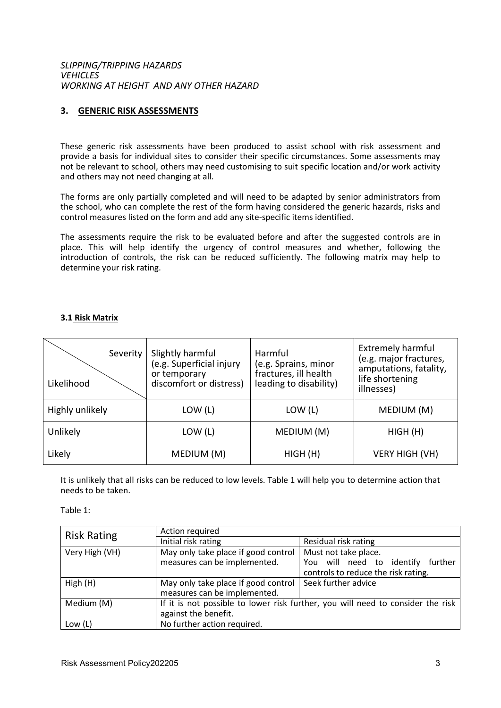*SLIPPING/TRIPPING HAZARDS VEHICLES WORKING AT HEIGHT AND ANY OTHER HAZARD*

# **3. GENERIC RISK ASSESSMENTS**

These generic risk assessments have been produced to assist school with risk assessment and provide a basis for individual sites to consider their specific circumstances. Some assessments may not be relevant to school, others may need customising to suit specific location and/or work activity and others may not need changing at all.

The forms are only partially completed and will need to be adapted by senior administrators from the school, who can complete the rest of the form having considered the generic hazards, risks and control measures listed on the form and add any site-specific items identified.

The assessments require the risk to be evaluated before and after the suggested controls are in place. This will help identify the urgency of control measures and whether, following the introduction of controls, the risk can be reduced sufficiently. The following matrix may help to determine your risk rating.

#### **3.1 Risk Matrix**

| Severity<br>Likelihood | Slightly harmful<br>(e.g. Superficial injury<br>or temporary<br>discomfort or distress) | Harmful<br>(e.g. Sprains, minor<br>fractures, ill health<br>leading to disability) | <b>Extremely harmful</b><br>(e.g. major fractures,<br>amputations, fatality,<br>life shortening<br>illnesses) |
|------------------------|-----------------------------------------------------------------------------------------|------------------------------------------------------------------------------------|---------------------------------------------------------------------------------------------------------------|
| Highly unlikely        | LOW (L)                                                                                 | LOW (L)                                                                            | MEDIUM (M)                                                                                                    |
| Unlikely               | LOW (L)                                                                                 | MEDIUM (M)                                                                         | HIGH(H)                                                                                                       |
| Likely                 | MEDIUM (M)                                                                              | HIGH(H)                                                                            | <b>VERY HIGH (VH)</b>                                                                                         |

It is unlikely that all risks can be reduced to low levels. Table 1 will help you to determine action that needs to be taken.

Table 1:

| <b>Risk Rating</b> | Action required                                                                 |                                      |  |
|--------------------|---------------------------------------------------------------------------------|--------------------------------------|--|
|                    | Initial risk rating                                                             | Residual risk rating                 |  |
| Very High (VH)     | May only take place if good control                                             | Must not take place.                 |  |
|                    | measures can be implemented.                                                    | You will need to identify<br>further |  |
|                    |                                                                                 | controls to reduce the risk rating.  |  |
| High(H)            | May only take place if good control                                             | Seek further advice                  |  |
|                    | measures can be implemented.                                                    |                                      |  |
| Medium (M)         | If it is not possible to lower risk further, you will need to consider the risk |                                      |  |
|                    | against the benefit.                                                            |                                      |  |
| Low $(L)$          | No further action required.                                                     |                                      |  |